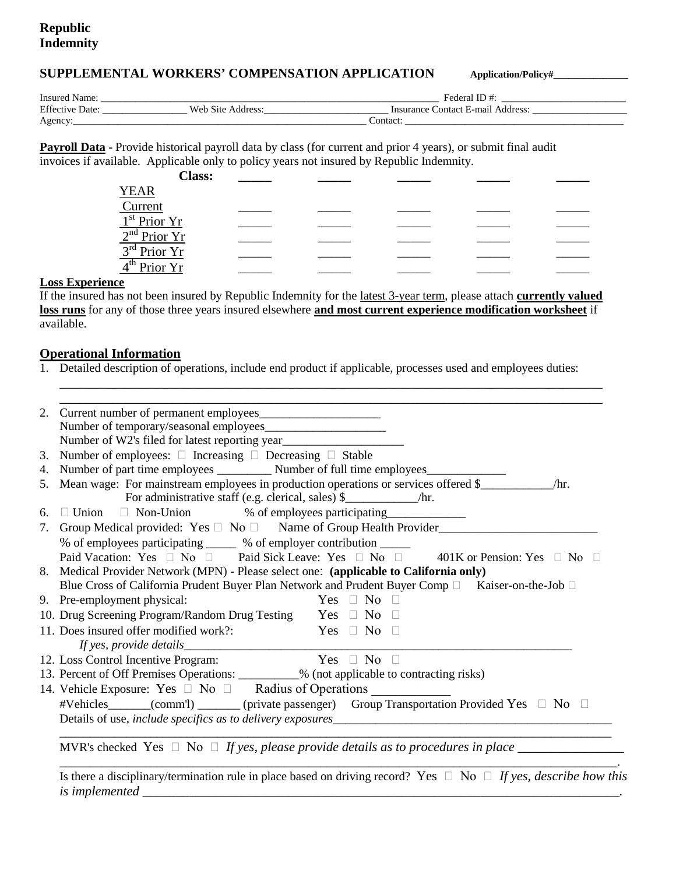## **SUPPLEMENTAL WORKERS' COMPENSATION APPLICATION Application/Policy#\_\_\_\_\_\_\_\_\_\_\_\_\_\_\_**

| Insured Name:     |           | Federal                                          |  |
|-------------------|-----------|--------------------------------------------------|--|
| Effective<br>Jate | Web Site. | Contact E-mail<br>Insurance (<br>Address<br>LOD. |  |
| Agency            |           | Contact:                                         |  |

**Payroll Data** - Provide historical payroll data by class (for current and prior 4 years), or submit final audit invoices if available. Applicable only to policy years not insured by Republic Indemnity.

| <b>Class:</b>                                                                                                                                                                                    |  |  |  |
|--------------------------------------------------------------------------------------------------------------------------------------------------------------------------------------------------|--|--|--|
|                                                                                                                                                                                                  |  |  |  |
|                                                                                                                                                                                                  |  |  |  |
|                                                                                                                                                                                                  |  |  |  |
| $\frac{\text{YEAR}}{1^{\text{st}} \text{Prior } Yr} \frac{1^{\text{st}} \text{Prior } Yr}{2^{\text{nd}} \text{Prior } Yr} \frac{3^{\text{rd}} \text{Prior } Yr}{4^{\text{th}} \text{Prior } Yr}$ |  |  |  |
|                                                                                                                                                                                                  |  |  |  |
|                                                                                                                                                                                                  |  |  |  |

### **Loss Experience**

If the insured has not been insured by Republic Indemnity for the latest 3-year term, please attach **currently valued loss runs** for any of those three years insured elsewhere **and most current experience modification worksheet** if available.

\_\_\_\_\_\_\_\_\_\_\_\_\_\_\_\_\_\_\_\_\_\_\_\_\_\_\_\_\_\_\_\_\_\_\_\_\_\_\_\_\_\_\_\_\_\_\_\_\_\_\_\_\_\_\_\_\_\_\_\_\_\_\_\_\_\_\_\_\_\_\_\_\_\_\_\_\_\_\_\_\_\_

## **Operational Information**

1. Detailed description of operations, include end product if applicable, processes used and employees duties:

|                                                                                                      | Number of W2's filed for latest reporting year                                                                                                                  |  |  |
|------------------------------------------------------------------------------------------------------|-----------------------------------------------------------------------------------------------------------------------------------------------------------------|--|--|
|                                                                                                      | 3. Number of employees: $\Box$ Increasing $\Box$ Decreasing $\Box$ Stable                                                                                       |  |  |
|                                                                                                      | 4. Number of part time employees _____________ Number of full time employees _______________________                                                            |  |  |
|                                                                                                      | 5. Mean wage: For mainstream employees in production operations or services offered \$<br>/hr.                                                                  |  |  |
|                                                                                                      |                                                                                                                                                                 |  |  |
|                                                                                                      | 6. □ Union □ Non-Union % of employees participating ____________________________                                                                                |  |  |
| 7. Group Medical provided: Yes □ No □ Name of Group Health Provider_________________________________ |                                                                                                                                                                 |  |  |
|                                                                                                      | % of employees participating ______ % of employer contribution ______                                                                                           |  |  |
|                                                                                                      | Paid Vacation: Yes □ No □ Paid Sick Leave: Yes □ No □ 401K or Pension: Yes □ No □                                                                               |  |  |
| 8. Medical Provider Network (MPN) - Please select one: (applicable to California only)               |                                                                                                                                                                 |  |  |
|                                                                                                      | Blue Cross of California Prudent Buyer Plan Network and Prudent Buyer Comp □ Kaiser-on-the-Job □                                                                |  |  |
|                                                                                                      | $Yes \Box No \Box$<br>9. Pre-employment physical:                                                                                                               |  |  |
|                                                                                                      |                                                                                                                                                                 |  |  |
|                                                                                                      |                                                                                                                                                                 |  |  |
|                                                                                                      | 10. Drug Screening Program/Random Drug Testing Yes $\Box$ No $\Box$<br>11. Does insured offer modified work?:                                                   |  |  |
|                                                                                                      | Yes $\Box$ No $\Box$                                                                                                                                            |  |  |
|                                                                                                      |                                                                                                                                                                 |  |  |
|                                                                                                      | 12. Loss Control Incentive Program: Yes $\Box$ No $\Box$                                                                                                        |  |  |
|                                                                                                      | 13. Percent of Off Premises Operations: _________% (not applicable to contracting risks)                                                                        |  |  |
|                                                                                                      | 14. Vehicle Exposure: Yes $\Box$ No $\Box$ Radius of Operations                                                                                                 |  |  |
|                                                                                                      | #Vehicles (comm <sup>'l</sup> ) (private passenger) Group Transportation Provided Yes □ No<br>Details of use, <i>include specifics as to delivery exposures</i> |  |  |

*is implemented \_\_\_\_\_\_\_\_\_\_\_\_\_\_\_\_\_\_\_\_\_\_\_\_\_\_\_\_\_\_\_\_\_\_\_\_\_\_\_\_\_\_\_\_\_\_\_\_\_\_\_\_\_\_\_\_\_\_\_\_\_\_\_\_\_\_\_\_\_\_\_\_.*